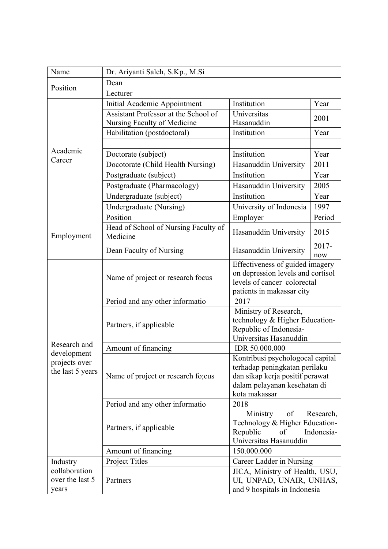| Name                                                             | Dr. Ariyanti Saleh, S.Kp., M.Si                  |                                                                                                                                                       |              |  |
|------------------------------------------------------------------|--------------------------------------------------|-------------------------------------------------------------------------------------------------------------------------------------------------------|--------------|--|
| Position                                                         | Dean                                             |                                                                                                                                                       |              |  |
|                                                                  | Lecturer                                         |                                                                                                                                                       |              |  |
|                                                                  | Initial Academic Appointment                     | Institution                                                                                                                                           | Year         |  |
|                                                                  | Assistant Professor at the School of             | Universitas                                                                                                                                           | 2001         |  |
|                                                                  | Nursing Faculty of Medicine                      | Hasanuddin                                                                                                                                            |              |  |
|                                                                  | Habilitation (postdoctoral)                      | Institution                                                                                                                                           | Year         |  |
|                                                                  |                                                  |                                                                                                                                                       |              |  |
| Academic<br>Career                                               | Doctorate (subject)                              | Institution                                                                                                                                           | Year         |  |
|                                                                  | Docotorate (Child Health Nursing)                | Hasanuddin University                                                                                                                                 | 2011         |  |
|                                                                  | Postgraduate (subject)                           | Institution                                                                                                                                           | Year         |  |
|                                                                  | Postgraduate (Pharmacology)                      | Hasanuddin University                                                                                                                                 | 2005         |  |
|                                                                  | Undergraduate (subject)                          | Institution                                                                                                                                           | Year         |  |
|                                                                  | Undergraduate (Nursing)                          | University of Indonesia                                                                                                                               | 1997         |  |
| Employment                                                       | Position                                         | Employer                                                                                                                                              | Period       |  |
|                                                                  | Head of School of Nursing Faculty of<br>Medicine | Hasanuddin University                                                                                                                                 | 2015         |  |
|                                                                  | Dean Faculty of Nursing                          | Hasanuddin University                                                                                                                                 | 2017-<br>now |  |
| Research and<br>development<br>projects over<br>the last 5 years | Name of project or research focus                | Effectiveness of guided imagery<br>on depression levels and cortisol<br>levels of cancer colorectal<br>patients in makassar city                      |              |  |
|                                                                  | Period and any other informatio                  | 2017                                                                                                                                                  |              |  |
|                                                                  | Partners, if applicable                          | Ministry of Research,<br>technology & Higher Education-<br>Republic of Indonesia-<br>Universitas Hasanuddin                                           |              |  |
|                                                                  | Amount of financing                              | IDR 50.000.000                                                                                                                                        |              |  |
|                                                                  | Name of project or research fo;cus               | Kontribusi psychologocal capital<br>terhadap peningkatan perilaku<br>dan sikap kerja positif perawat<br>dalam pelayanan kesehatan di<br>kota makassar |              |  |
|                                                                  | Period and any other informatio                  | 2018                                                                                                                                                  |              |  |
|                                                                  | Partners, if applicable                          | of<br>Research,<br>Ministry<br>Technology & Higher Education-<br>Republic<br>of<br>Indonesia-<br>Universitas Hasanuddin                               |              |  |
|                                                                  | Amount of financing                              | 150.000.000                                                                                                                                           |              |  |
| Industry                                                         | Project Titles                                   | Career Ladder in Nursing                                                                                                                              |              |  |
| collaboration<br>over the last 5<br>years                        | Partners                                         | JICA, Ministry of Health, USU,<br>UI, UNPAD, UNAIR, UNHAS,<br>and 9 hospitals in Indonesia                                                            |              |  |